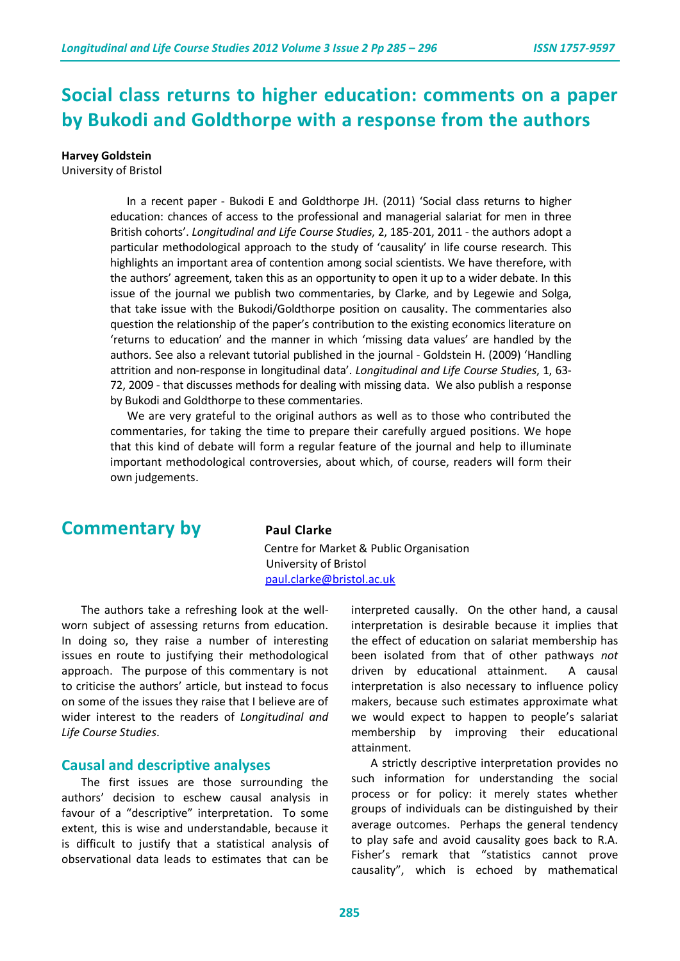# **Social class returns to higher education: comments on a paper by Bukodi and Goldthorpe with a response from the authors**

**Harvey Goldstein**

University of Bristol

 In a recent paper - Bukodi E and Goldthorpe JH. (2011) 'Social class returns to higher education: chances of access to the professional and managerial salariat for men in three British cohorts'. *Longitudinal and Life Course Studies*, 2, 185-201, 2011 - the authors adopt a particular methodological approach to the study of 'causality' in life course research. This highlights an important area of contention among social scientists. We have therefore, with the authors' agreement, taken this as an opportunity to open it up to a wider debate. In this issue of the journal we publish two commentaries, by Clarke, and by Legewie and Solga, that take issue with the Bukodi/Goldthorpe position on causality. The commentaries also question the relationship of the paper's contribution to the existing economics literature on 'returns to education' and the manner in which 'missing data values' are handled by the authors. See also a relevant tutorial published in the journal - Goldstein H. (2009) 'Handling attrition and non-response in longitudinal data'. *Longitudinal and Life Course Studies*, 1, 63- 72, 2009 - that discusses methods for dealing with missing data. We also publish a response by Bukodi and Goldthorpe to these commentaries.

 We are very grateful to the original authors as well as to those who contributed the commentaries, for taking the time to prepare their carefully argued positions. We hope that this kind of debate will form a regular feature of the journal and help to illuminate important methodological controversies, about which, of course, readers will form their own judgements.

## **Commentary by Paul Clarke**

 Centre for Market & Public Organisation University of Bristol [paul.clarke@bristol.ac.uk](mailto:paul.clarke@bristol.ac.uk)

The authors take a refreshing look at the wellworn subject of assessing returns from education. In doing so, they raise a number of interesting issues en route to justifying their methodological approach. The purpose of this commentary is not to criticise the authors' article, but instead to focus on some of the issues they raise that I believe are of wider interest to the readers of *Longitudinal and Life Course Studies*.

#### **Causal and descriptive analyses**

The first issues are those surrounding the authors' decision to eschew causal analysis in favour of a "descriptive" interpretation. To some extent, this is wise and understandable, because it is difficult to justify that a statistical analysis of observational data leads to estimates that can be interpreted causally. On the other hand, a causal interpretation is desirable because it implies that the effect of education on salariat membership has been isolated from that of other pathways *not* driven by educational attainment. A causal interpretation is also necessary to influence policy makers, because such estimates approximate what we would expect to happen to people's salariat membership by improving their educational attainment.

A strictly descriptive interpretation provides no such information for understanding the social process or for policy: it merely states whether groups of individuals can be distinguished by their average outcomes. Perhaps the general tendency to play safe and avoid causality goes back to R.A. Fisher's remark that "statistics cannot prove causality", which is echoed by mathematical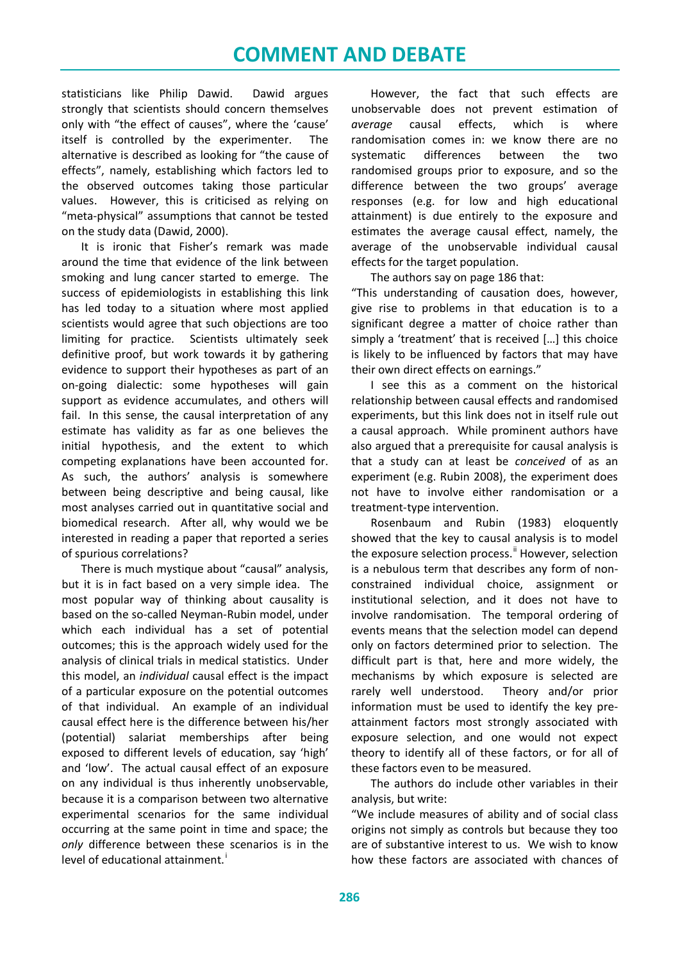statisticians like Philip Dawid. Dawid argues strongly that scientists should concern themselves only with "the effect of causes", where the 'cause' itself is controlled by the experimenter. The alternative is described as looking for "the cause of effects", namely, establishing which factors led to the observed outcomes taking those particular values. However, this is criticised as relying on "meta-physical" assumptions that cannot be tested on the study data (Dawid, 2000).

It is ironic that Fisher's remark was made around the time that evidence of the link between smoking and lung cancer started to emerge. The success of epidemiologists in establishing this link has led today to a situation where most applied scientists would agree that such objections are too limiting for practice. Scientists ultimately seek definitive proof, but work towards it by gathering evidence to support their hypotheses as part of an on-going dialectic: some hypotheses will gain support as evidence accumulates, and others will fail. In this sense, the causal interpretation of any estimate has validity as far as one believes the initial hypothesis, and the extent to which competing explanations have been accounted for. As such, the authors' analysis is somewhere between being descriptive and being causal, like most analyses carried out in quantitative social and biomedical research. After all, why would we be interested in reading a paper that reported a series of spurious correlations?

There is much mystique about "causal" analysis, but it is in fact based on a very simple idea. The most popular way of thinking about causality is based on the so-called Neyman-Rubin model, under which each individual has a set of potential outcomes; this is the approach widely used for the analysis of clinical trials in medical statistics. Under this model, an *individual* causal effect is the impact of a particular exposure on the potential outcomes of that individual. An example of an individual causal effect here is the difference between his/her (potential) salariat memberships after being exposed to different levels of education, say 'high' and 'low'. The actual causal effect of an exposure on any individual is thus inherently unobservable, because it is a comparison between two alternative experimental scenarios for the same individual occurring at the same point in time and space; the *only* difference between these scenarios is in the level of educat[i](#page-3-0)onal attainment.<sup>i</sup>

However, the fact that such effects are unobservable does not prevent estimation of *average* causal effects, which is where randomisation comes in: we know there are no systematic differences between the two randomised groups prior to exposure, and so the difference between the two groups' average responses (e.g. for low and high educational attainment) is due entirely to the exposure and estimates the average causal effect, namely, the average of the unobservable individual causal effects for the target population.

The authors say on page 186 that:

"This understanding of causation does, however, give rise to problems in that education is to a significant degree a matter of choice rather than simply a 'treatment' that is received […] this choice is likely to be influenced by factors that may have their own direct effects on earnings."

I see this as a comment on the historical relationship between causal effects and randomised experiments, but this link does not in itself rule out a causal approach. While prominent authors have also argued that a prerequisite for causal analysis is that a study can at least be *conceived* of as an experiment (e.g. Rubin 2008), the experiment does not have to involve either randomisation or a treatment-type intervention.

Rosenbaum and Rubin (1983) eloquently showed that the key to causal analysis is to model the exposure selection process.<sup>"</sup> However, selection is a nebulous term that describes any form of nonconstrained individual choice, assignment or institutional selection, and it does not have to involve randomisation. The temporal ordering of events means that the selection model can depend only on factors determined prior to selection. The difficult part is that, here and more widely, the mechanisms by which exposure is selected are rarely well understood. Theory and/or prior information must be used to identify the key preattainment factors most strongly associated with exposure selection, and one would not expect theory to identify all of these factors, or for all of these factors even to be measured.

The authors do include other variables in their analysis, but write:

"We include measures of ability and of social class origins not simply as controls but because they too are of substantive interest to us. We wish to know how these factors are associated with chances of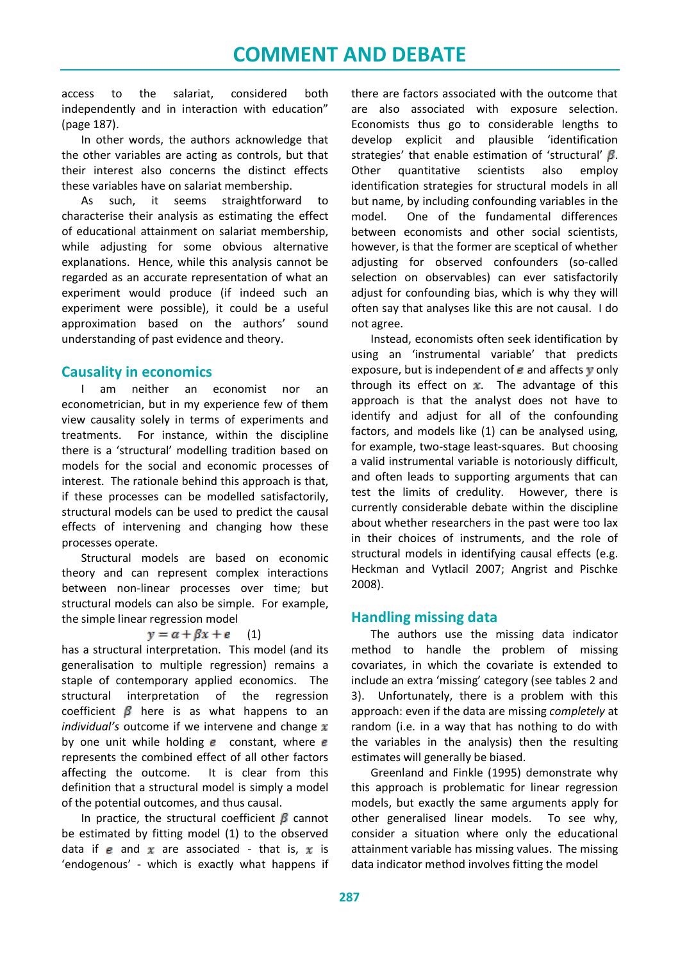access to the salariat, considered both independently and in interaction with education" (page 187).

In other words, the authors acknowledge that the other variables are acting as controls, but that their interest also concerns the distinct effects these variables have on salariat membership.

As such, it seems straightforward to characterise their analysis as estimating the effect of educational attainment on salariat membership, while adjusting for some obvious alternative explanations. Hence, while this analysis cannot be regarded as an accurate representation of what an experiment would produce (if indeed such an experiment were possible), it could be a useful approximation based on the authors' sound understanding of past evidence and theory.

## **Causality in economics**

I am neither an economist nor an econometrician, but in my experience few of them view causality solely in terms of experiments and treatments. For instance, within the discipline there is a 'structural' modelling tradition based on models for the social and economic processes of interest. The rationale behind this approach is that, if these processes can be modelled satisfactorily, structural models can be used to predict the causal effects of intervening and changing how these processes operate.

Structural models are based on economic theory and can represent complex interactions between non-linear processes over time; but structural models can also be simple. For example, the simple linear regression model

#### $y = \alpha + \beta x + e$  (1)

has a structural interpretation. This model (and its generalisation to multiple regression) remains a staple of contemporary applied economics. The structural interpretation of the regression coefficient  $\beta$  here is as what happens to an *individual's* outcome if we intervene and change  $x$ by one unit while holding  $e$  constant, where  $e$ represents the combined effect of all other factors affecting the outcome. It is clear from this definition that a structural model is simply a model of the potential outcomes, and thus causal.

In practice, the structural coefficient  $\beta$  cannot be estimated by fitting model (1) to the observed data if e and  $x$  are associated - that is,  $x$  is 'endogenous' - which is exactly what happens if

there are factors associated with the outcome that are also associated with exposure selection. Economists thus go to considerable lengths to develop explicit and plausible 'identification strategies' that enable estimation of 'structural'  $\beta$ . Other quantitative scientists also employ identification strategies for structural models in all but name, by including confounding variables in the model. One of the fundamental differences between economists and other social scientists, however, is that the former are sceptical of whether adjusting for observed confounders (so-called selection on observables) can ever satisfactorily adjust for confounding bias, which is why they will often say that analyses like this are not causal. I do not agree.

Instead, economists often seek identification by using an 'instrumental variable' that predicts exposure, but is independent of  $e$  and affects  $\bf{y}$  only through its effect on  $x$ . The advantage of this approach is that the analyst does not have to identify and adjust for all of the confounding factors, and models like (1) can be analysed using, for example, two-stage least-squares. But choosing a valid instrumental variable is notoriously difficult, and often leads to supporting arguments that can test the limits of credulity. However, there is currently considerable debate within the discipline about whether researchers in the past were too lax in their choices of instruments, and the role of structural models in identifying causal effects (e.g. Heckman and Vytlacil 2007; Angrist and Pischke 2008).

## **Handling missing data**

The authors use the missing data indicator method to handle the problem of missing covariates, in which the covariate is extended to include an extra 'missing' category (see tables 2 and 3). Unfortunately, there is a problem with this approach: even if the data are missing *completely* at random (i.e. in a way that has nothing to do with the variables in the analysis) then the resulting estimates will generally be biased.

Greenland and Finkle (1995) demonstrate why this approach is problematic for linear regression models, but exactly the same arguments apply for other generalised linear models. To see why, consider a situation where only the educational attainment variable has missing values. The missing data indicator method involves fitting the model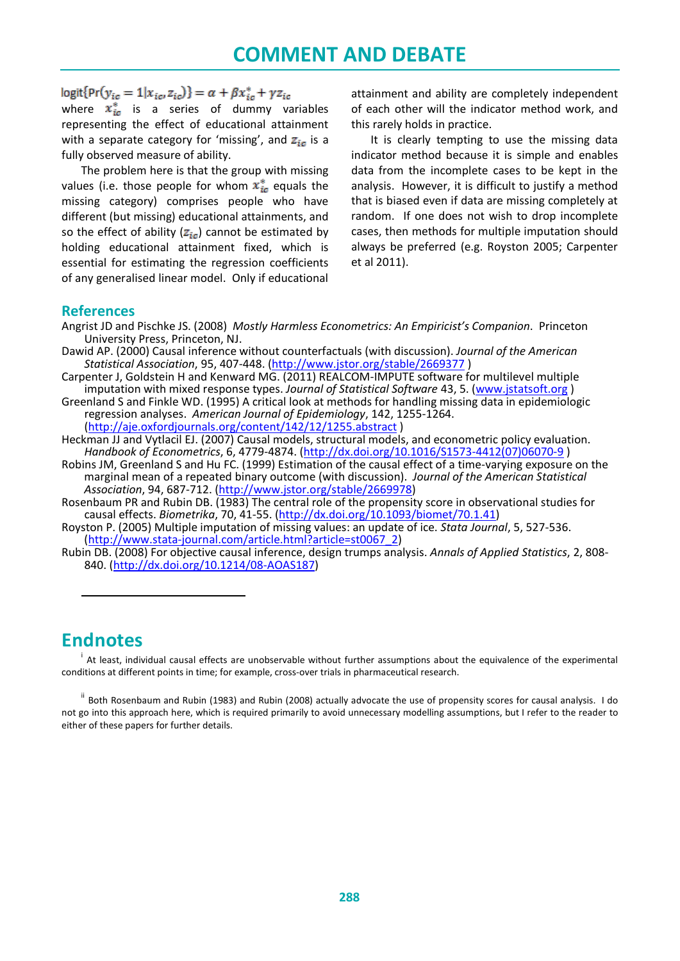logit{Pr( $y_{ic} = 1 | x_{ic}, z_{ic}$ )} =  $\alpha + \beta x_{ic}^* + \gamma z_{ic}$ 

where  $\overline{x}_{ic}^{*}$  is a series of dummy variables representing the effect of educational attainment with a separate category for 'missing', and  $z_{in}$  is a fully observed measure of ability.

The problem here is that the group with missing values (i.e. those people for whom  $\mathbf{x}_{i\epsilon}^*$  equals the missing category) comprises people who have different (but missing) educational attainments, and so the effect of ability  $(z_{\text{in}})$  cannot be estimated by holding educational attainment fixed, which is essential for estimating the regression coefficients of any generalised linear model. Only if educational

attainment and ability are completely independent of each other will the indicator method work, and this rarely holds in practice.

It is clearly tempting to use the missing data indicator method because it is simple and enables data from the incomplete cases to be kept in the analysis. However, it is difficult to justify a method that is biased even if data are missing completely at random. If one does not wish to drop incomplete cases, then methods for multiple imputation should always be preferred (e.g. Royston 2005; Carpenter et al 2011).

### **References**

- Dawid AP. (2000) Causal inference without counterfactuals (with discussion). *Journal of the American Statistical Association*, 95, 407-448. [\(http://www.jstor.org/stable/2669377](http://www.jstor.org/stable/2669377) )
- Carpenter J, Goldstein H and Kenward MG. (2011) REALCOM-IMPUTE software for multilevel multiple imputation with mixed response types. *Journal of Statistical Software* 43, 5. [\(www.jstatsoft.org](http://www.jstatsoft.org/) )
- Greenland S and Finkle WD. (1995) A critical look at methods for handling missing data in epidemiologic regression analyses. *American Journal of Epidemiology*, 142, 1255-1264. [\(http://aje.oxfordjournals.org/content/142/12/1255.abstract](http://aje.oxfordjournals.org/content/142/12/1255.abstract) )
- Heckman JJ and Vytlacil EJ. (2007) Causal models, structural models, and econometric policy evaluation. *Handbook of Econometrics*, 6, 4779-4874. [\(http://dx.doi.org/10.1016/S1573-4412\(07\)06070-9](http://dx.doi.org/10.1016/S1573-4412(07)06070-9) )
- Robins JM, Greenland S and Hu FC. (1999) Estimation of the causal effect of a time-varying exposure on the marginal mean of a repeated binary outcome (with discussion). *Journal of the American Statistical Association*, 94, 687-712. [\(http://www.jstor.org/stable/2669978\)](http://www.jstor.org/stable/2669978)
- Rosenbaum PR and Rubin DB. (1983) The central role of the propensity score in observational studies for causal effects. *Biometrika*, 70, 41-55. [\(http://dx.doi.org/10.1093/biomet/70.1.41\)](http://dx.doi.org/10.1093/biomet/70.1.41)
- Royston P. (2005) Multiple imputation of missing values: an update of ice. *Stata Journal*, 5, 527-536. [\(http://www.stata-journal.com/article.html?article=st0067\\_2\)](http://www.stata-journal.com/article.html?article=st0067_2)
- Rubin DB. (2008) For objective causal inference, design trumps analysis. *Annals of Applied Statistics*, 2, 808- 840. [\(http://dx.doi.org/10.1214/08-AOAS187\)](http://dx.doi.org/10.1214/08-AOAS187)

# <span id="page-3-0"></span>**Endnotes**

 $\overline{a}$ 

<sup>i</sup> At least, individual causal effects are unobservable without further assumptions about the equivalence of the experimental conditions at different points in time; for example, cross-over trials in pharmaceutical research.

<span id="page-3-1"></span><sup>ii</sup> Both Rosenbaum and Rubin (1983) and Rubin (2008) actually advocate the use of propensity scores for causal analysis. I do not go into this approach here, which is required primarily to avoid unnecessary modelling assumptions, but I refer to the reader to either of these papers for further details.

Angrist JD and Pischke JS. (2008) *Mostly Harmless Econometrics: An Empiricist's Companion*. Princeton University Press, Princeton, NJ.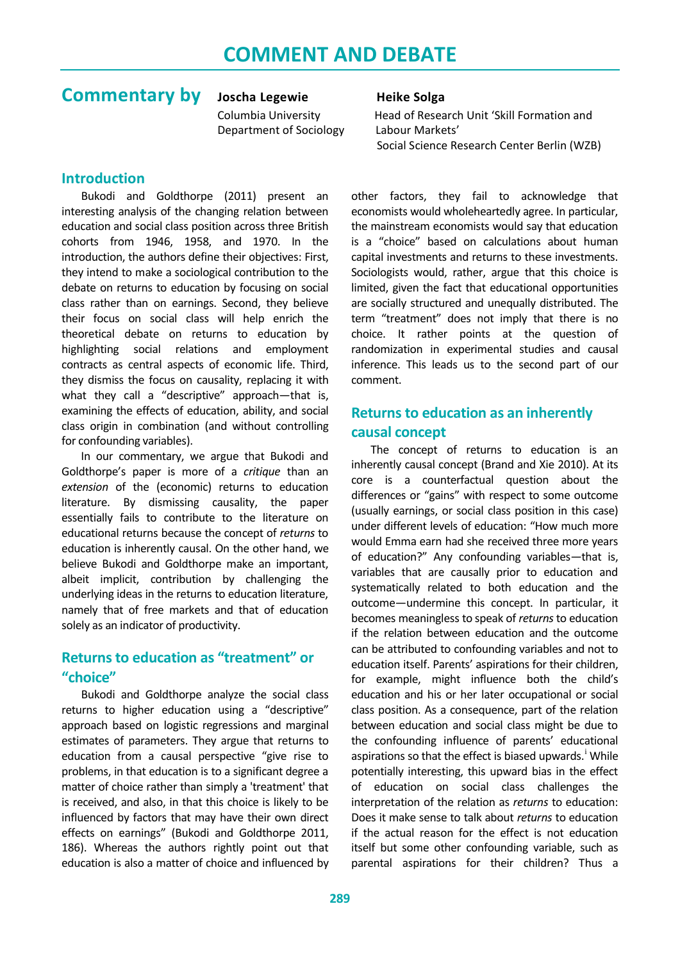# **Commentary by** Joscha Legewie Heike Solga

Department of Sociology Labour Markets'

### **Introduction**

Bukodi and Goldthorpe (2011) present an interesting analysis of the changing relation between education and social class position across three British cohorts from 1946, 1958, and 1970. In the introduction, the authors define their objectives: First, they intend to make a sociological contribution to the debate on returns to education by focusing on social class rather than on earnings. Second, they believe their focus on social class will help enrich the theoretical debate on returns to education by highlighting social relations and employment contracts as central aspects of economic life. Third, they dismiss the focus on causality, replacing it with what they call a "descriptive" approach—that is, examining the effects of education, ability, and social class origin in combination (and without controlling for confounding variables).

In our commentary, we argue that Bukodi and Goldthorpe's paper is more of a *critique* than an *extension* of the (economic) returns to education literature. By dismissing causality, the paper essentially fails to contribute to the literature on educational returns because the concept of *returns* to education is inherently causal. On the other hand, we believe Bukodi and Goldthorpe make an important, albeit implicit, contribution by challenging the underlying ideas in the returns to education literature, namely that of free markets and that of education solely as an indicator of productivity.

## **Returns to education as "treatment" or "choice"**

Bukodi and Goldthorpe analyze the social class returns to higher education using a "descriptive" approach based on logistic regressions and marginal estimates of parameters. They argue that returns to education from a causal perspective "give rise to problems, in that education is to a significant degree a matter of choice rather than simply a 'treatment' that is received, and also, in that this choice is likely to be influenced by factors that may have their own direct effects on earnings" (Bukodi and Goldthorpe 2011, 186). Whereas the authors rightly point out that education is also a matter of choice and influenced by

 Columbia University Head of Research Unit 'Skill Formation and Social Science Research Center Berlin (WZB)

> other factors, they fail to acknowledge that economists would wholeheartedly agree. In particular, the mainstream economists would say that education is a "choice" based on calculations about human capital investments and returns to these investments. Sociologists would, rather, argue that this choice is limited, given the fact that educational opportunities are socially structured and unequally distributed. The term "treatment" does not imply that there is no choice. It rather points at the question of randomization in experimental studies and causal inference. This leads us to the second part of our comment.

## **Returns to education as an inherently causal concept**

The concept of returns to education is an inherently causal concept (Brand and Xie 2010). At its core is a counterfactual question about the differences or "gains" with respect to some outcome (usually earnings, or social class position in this case) under different levels of education: "How much more would Emma earn had she received three more years of education?" Any confounding variables—that is, variables that are causally prior to education and systematically related to both education and the outcome—undermine this concept. In particular, it becomes meaningless to speak of *returns* to education if the relation between education and the outcome can be attributed to confounding variables and not to education itself. Parents' aspirations for their children, for example, might influence both the child's education and his or her later occupational or social class position. As a consequence, part of the relation between education and social class might be due to the confounding influence of parents' educational asp[i](#page-6-0)rations so that the effect is biased upwards.<sup>i</sup> While potentially interesting, this upward bias in the effect of education on social class challenges the interpretation of the relation as *returns* to education: Does it make sense to talk about *returns* to education if the actual reason for the effect is not education itself but some other confounding variable, such as parental aspirations for their children? Thus a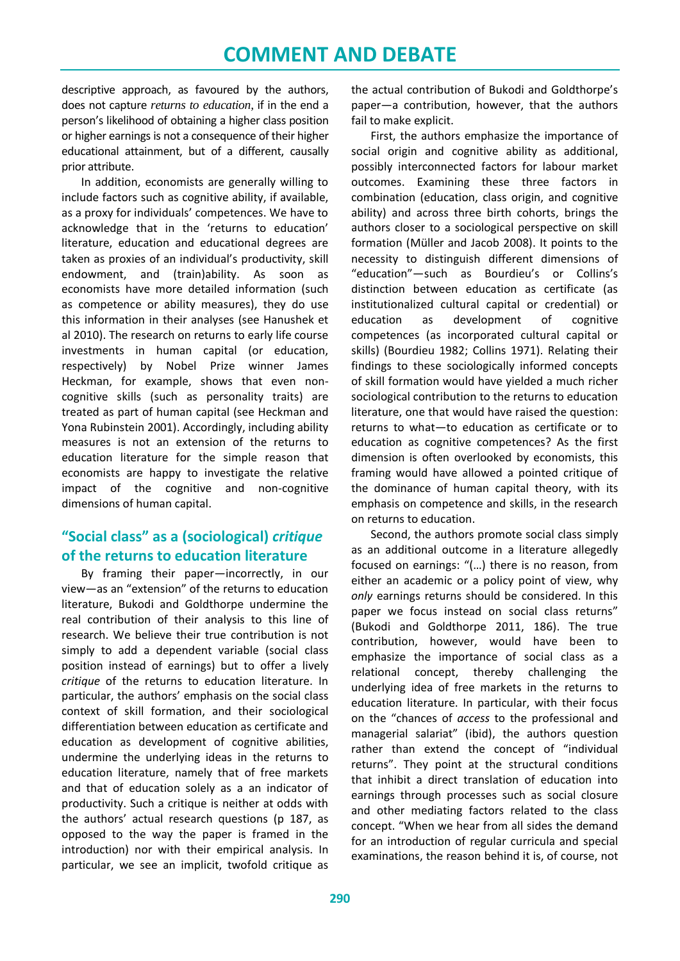descriptive approach, as favoured by the authors, does not capture *returns to education,* if in the end a person's likelihood of obtaining a higher class position or higher earnings is not a consequence of their higher educational attainment, but of a different, causally prior attribute.

In addition, economists are generally willing to include factors such as cognitive ability, if available, as a proxy for individuals' competences. We have to acknowledge that in the 'returns to education' literature, education and educational degrees are taken as proxies of an individual's productivity, skill endowment, and (train)ability. As soon as economists have more detailed information (such as competence or ability measures), they do use this information in their analyses (see Hanushek et al 2010). The research on returns to early life course investments in human capital (or education, respectively) by Nobel Prize winner James Heckman, for example, shows that even noncognitive skills (such as personality traits) are treated as part of human capital (see Heckman and Yona Rubinstein 2001). Accordingly, including ability measures is not an extension of the returns to education literature for the simple reason that economists are happy to investigate the relative impact of the cognitive and non-cognitive dimensions of human capital.

## **"Social class" as a (sociological)** *critique* **of the returns to education literature**

By framing their paper—incorrectly, in our view—as an "extension" of the returns to education literature, Bukodi and Goldthorpe undermine the real contribution of their analysis to this line of research. We believe their true contribution is not simply to add a dependent variable (social class position instead of earnings) but to offer a lively *critique* of the returns to education literature. In particular, the authors' emphasis on the social class context of skill formation, and their sociological differentiation between education as certificate and education as development of cognitive abilities, undermine the underlying ideas in the returns to education literature, namely that of free markets and that of education solely as a an indicator of productivity. Such a critique is neither at odds with the authors' actual research questions (p 187, as opposed to the way the paper is framed in the introduction) nor with their empirical analysis. In particular, we see an implicit, twofold critique as

the actual contribution of Bukodi and Goldthorpe's paper—a contribution, however, that the authors fail to make explicit.

First, the authors emphasize the importance of social origin and cognitive ability as additional, possibly interconnected factors for labour market outcomes. Examining these three factors in combination (education, class origin, and cognitive ability) and across three birth cohorts, brings the authors closer to a sociological perspective on skill formation (Müller and Jacob 2008). It points to the necessity to distinguish different dimensions of "education"—such as Bourdieu's or Collins's distinction between education as certificate (as institutionalized cultural capital or credential) or education as development of cognitive competences (as incorporated cultural capital or skills) (Bourdieu 1982; Collins 1971). Relating their findings to these sociologically informed concepts of skill formation would have yielded a much richer sociological contribution to the returns to education literature, one that would have raised the question: returns to what—to education as certificate or to education as cognitive competences? As the first dimension is often overlooked by economists, this framing would have allowed a pointed critique of the dominance of human capital theory, with its emphasis on competence and skills, in the research on returns to education.

Second, the authors promote social class simply as an additional outcome in a literature allegedly focused on earnings: "(…) there is no reason, from either an academic or a policy point of view, why *only* earnings returns should be considered. In this paper we focus instead on social class returns" (Bukodi and Goldthorpe 2011, 186). The true contribution, however, would have been to emphasize the importance of social class as a relational concept, thereby challenging the underlying idea of free markets in the returns to education literature. In particular, with their focus on the "chances of *access* to the professional and managerial salariat" (ibid), the authors question rather than extend the concept of "individual returns". They point at the structural conditions that inhibit a direct translation of education into earnings through processes such as social closure and other mediating factors related to the class concept. "When we hear from all sides the demand for an introduction of regular curricula and special examinations, the reason behind it is, of course, not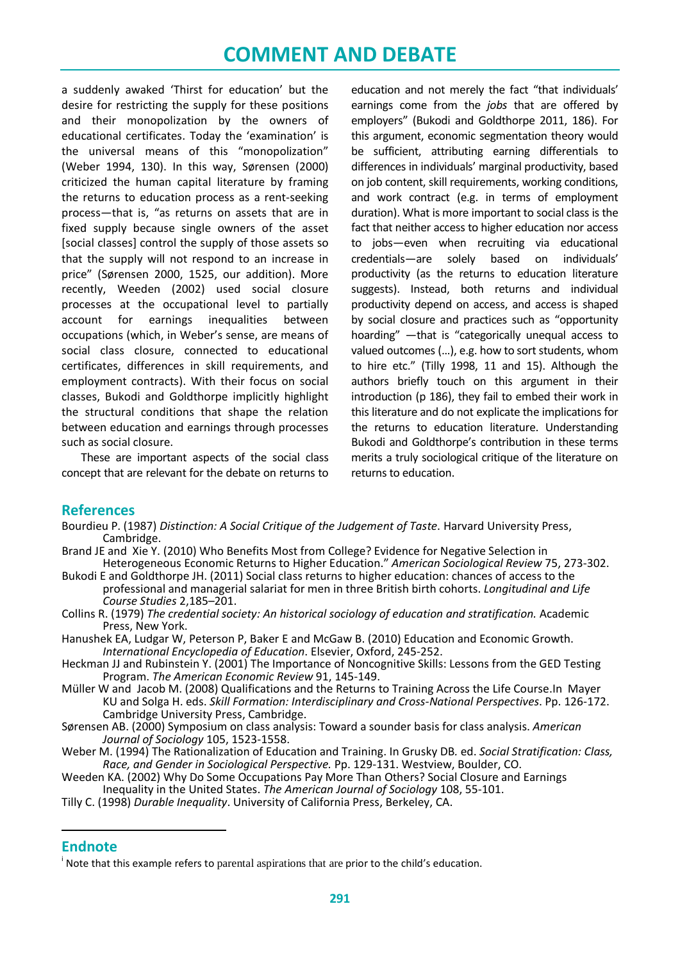a suddenly awaked 'Thirst for education' but the desire for restricting the supply for these positions and their monopolization by the owners of educational certificates. Today the 'examination' is the universal means of this "monopolization" (Weber 1994, 130). In this way, Sørensen (2000) criticized the human capital literature by framing the returns to education process as a rent-seeking process—that is, "as returns on assets that are in fixed supply because single owners of the asset [social classes] control the supply of those assets so that the supply will not respond to an increase in price" (Sørensen 2000, 1525, our addition). More recently, Weeden (2002) used social closure processes at the occupational level to partially account for earnings inequalities between occupations (which, in Weber's sense, are means of social class closure, connected to educational certificates, differences in skill requirements, and employment contracts). With their focus on social classes, Bukodi and Goldthorpe implicitly highlight the structural conditions that shape the relation between education and earnings through processes such as social closure.

These are important aspects of the social class concept that are relevant for the debate on returns to

education and not merely the fact "that individuals' earnings come from the *jobs* that are offered by employers" (Bukodi and Goldthorpe 2011, 186). For this argument, economic segmentation theory would be sufficient, attributing earning differentials to differences in individuals' marginal productivity, based on job content, skill requirements, working conditions, and work contract (e.g. in terms of employment duration). What is more important to social class is the fact that neither access to higher education nor access to jobs—even when recruiting via educational credentials—are solely based on individuals' productivity (as the returns to education literature suggests). Instead, both returns and individual productivity depend on access, and access is shaped by social closure and practices such as "opportunity hoarding" —that is "categorically unequal access to valued outcomes (…), e.g. how to sort students, whom to hire etc." (Tilly 1998, 11 and 15). Although the authors briefly touch on this argument in their introduction (p 186), they fail to embed their work in this literature and do not explicate the implications for the returns to education literature. Understanding Bukodi and Goldthorpe's contribution in these terms merits a truly sociological critique of the literature on returns to education.

## **References**

- Bourdieu P. (1987) *Distinction: A Social Critique of the Judgement of Taste*. Harvard University Press, Cambridge.
- Brand JE and Xie Y. (2010) Who Benefits Most from College? Evidence for Negative Selection in
- Heterogeneous Economic Returns to Higher Education." *American Sociological Review* 75, 273-302. Bukodi E and Goldthorpe JH. (2011) Social class returns to higher education: chances of access to the professional and managerial salariat for men in three British birth cohorts. *Longitudinal and Life Course Studies* 2,185–201.
- Collins R. (1979) *The credential society: An historical sociology of education and stratification.* Academic Press, New York.
- Hanushek EA, Ludgar W, Peterson P, Baker E and McGaw B. (2010) Education and Economic Growth. *International Encyclopedia of Education*. Elsevier, Oxford, 245-252.
- Heckman JJ and Rubinstein Y. (2001) The Importance of Noncognitive Skills: Lessons from the GED Testing Program. *The American Economic Review* 91, 145-149.
- Müller W and Jacob M. (2008) Qualifications and the Returns to Training Across the Life Course.In Mayer KU and Solga H. eds. *Skill Formation: Interdisciplinary and Cross-National Perspectives*. Pp. 126-172. Cambridge University Press, Cambridge.
- Sørensen AB. (2000) Symposium on class analysis: Toward a sounder basis for class analysis. *American Journal of Sociology* 105, 1523-1558.
- Weber M. (1994) The Rationalization of Education and Training. In Grusky DB*.* ed. *Social Stratification: Class, Race, and Gender in Sociological Perspective.* Pp. 129-131. Westview, Boulder, CO.
- Weeden KA. (2002) Why Do Some Occupations Pay More Than Others? Social Closure and Earnings Inequality in the United States. *The American Journal of Sociology* 108, 55-101.
- Tilly C. (1998) *Durable Inequality*. University of California Press, Berkeley, CA.

### <span id="page-6-0"></span>**Endnote**

1

<sup>&</sup>lt;sup>i</sup> Note that this example refers to parental aspirations that are prior to the child's education.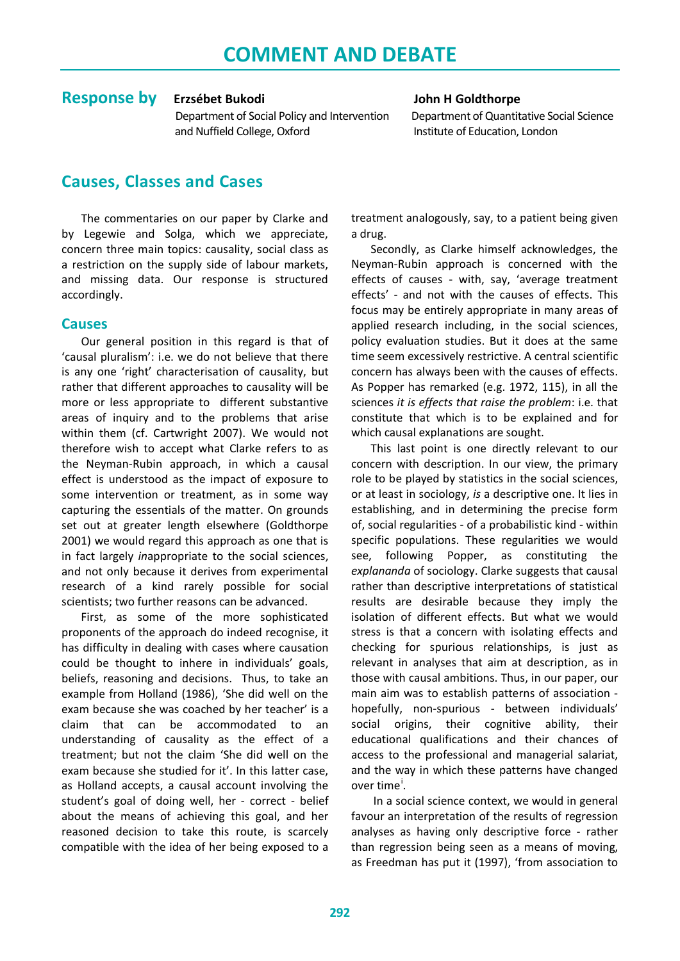## **Response by** Erzsébet Bukodi **Goldthorpe** John H Goldthorpe

 Department of Social Policy and Intervention Department of Quantitative Social Science and Nuffield College, Oxford Institute of Education, London

# **Causes, Classes and Cases**

The commentaries on our paper by Clarke and by Legewie and Solga, which we appreciate, concern three main topics: causality, social class as a restriction on the supply side of labour markets, and missing data. Our response is structured accordingly.

## **Causes**

Our general position in this regard is that of 'causal pluralism': i.e. we do not believe that there is any one 'right' characterisation of causality, but rather that different approaches to causality will be more or less appropriate to different substantive areas of inquiry and to the problems that arise within them (cf. Cartwright 2007). We would not therefore wish to accept what Clarke refers to as the Neyman-Rubin approach, in which a causal effect is understood as the impact of exposure to some intervention or treatment, as in some way capturing the essentials of the matter. On grounds set out at greater length elsewhere (Goldthorpe 2001) we would regard this approach as one that is in fact largely *in*appropriate to the social sciences, and not only because it derives from experimental research of a kind rarely possible for social scientists; two further reasons can be advanced.

First, as some of the more sophisticated proponents of the approach do indeed recognise, it has difficulty in dealing with cases where causation could be thought to inhere in individuals' goals, beliefs, reasoning and decisions. Thus, to take an example from Holland (1986), 'She did well on the exam because she was coached by her teacher' is a claim that can be accommodated to an understanding of causality as the effect of a treatment; but not the claim 'She did well on the exam because she studied for it'. In this latter case, as Holland accepts, a causal account involving the student's goal of doing well, her - correct - belief about the means of achieving this goal, and her reasoned decision to take this route, is scarcely compatible with the idea of her being exposed to a

treatment analogously, say, to a patient being given a drug.

Secondly, as Clarke himself acknowledges, the Neyman-Rubin approach is concerned with the effects of causes - with, say, 'average treatment effects' - and not with the causes of effects. This focus may be entirely appropriate in many areas of applied research including, in the social sciences, policy evaluation studies. But it does at the same time seem excessively restrictive. A central scientific concern has always been with the causes of effects. As Popper has remarked (e.g. 1972, 115), in all the sciences *it is effects that raise the problem*: i.e. that constitute that which is to be explained and for which causal explanations are sought.

This last point is one directly relevant to our concern with description. In our view, the primary role to be played by statistics in the social sciences, or at least in sociology, *is* a descriptive one. It lies in establishing, and in determining the precise form of, social regularities - of a probabilistic kind - within specific populations. These regularities we would see, following Popper, as constituting the *explananda* of sociology. Clarke suggests that causal rather than descriptive interpretations of statistical results are desirable because they imply the isolation of different effects. But what we would stress is that a concern with isolating effects and checking for spurious relationships, is just as relevant in analyses that aim at description, as in those with causal ambitions. Thus, in our paper, our main aim was to establish patterns of association hopefully, non-spurious - between individuals' social origins, their cognitive ability, their educational qualifications and their chances of access to the professional and managerial salariat, and the way in which these patterns have changed over t[i](#page-11-0)me<sup>i</sup>.

In a social science context, we would in general favour an interpretation of the results of regression analyses as having only descriptive force - rather than regression being seen as a means of moving, as Freedman has put it (1997), 'from association to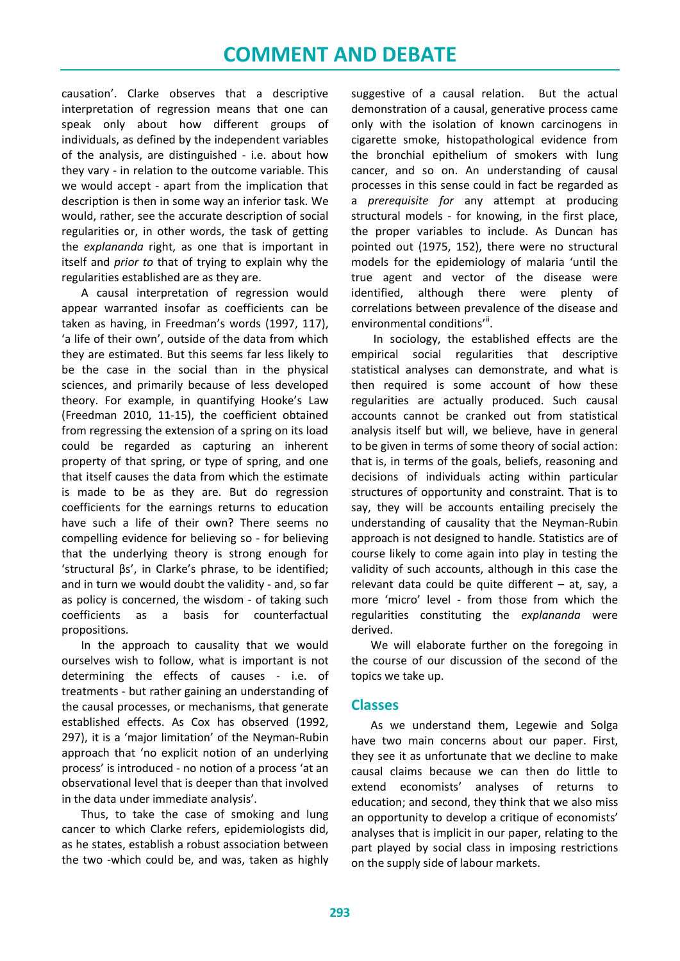causation'. Clarke observes that a descriptive interpretation of regression means that one can speak only about how different groups of individuals, as defined by the independent variables of the analysis, are distinguished - i.e. about how they vary - in relation to the outcome variable. This we would accept - apart from the implication that description is then in some way an inferior task. We would, rather, see the accurate description of social regularities or, in other words, the task of getting the *explananda* right, as one that is important in itself and *prior to* that of trying to explain why the regularities established are as they are.

A causal interpretation of regression would appear warranted insofar as coefficients can be taken as having, in Freedman's words (1997, 117), 'a life of their own', outside of the data from which they are estimated. But this seems far less likely to be the case in the social than in the physical sciences, and primarily because of less developed theory. For example, in quantifying Hooke's Law (Freedman 2010, 11-15), the coefficient obtained from regressing the extension of a spring on its load could be regarded as capturing an inherent property of that spring, or type of spring, and one that itself causes the data from which the estimate is made to be as they are. But do regression coefficients for the earnings returns to education have such a life of their own? There seems no compelling evidence for believing so - for believing that the underlying theory is strong enough for 'structural βs', in Clarke's phrase, to be identified; and in turn we would doubt the validity - and, so far as policy is concerned, the wisdom - of taking such coefficients as a basis for counterfactual propositions.

In the approach to causality that we would ourselves wish to follow, what is important is not determining the effects of causes - i.e. of treatments - but rather gaining an understanding of the causal processes, or mechanisms, that generate established effects. As Cox has observed (1992, 297), it is a 'major limitation' of the Neyman-Rubin approach that 'no explicit notion of an underlying process' is introduced - no notion of a process 'at an observational level that is deeper than that involved in the data under immediate analysis'.

Thus, to take the case of smoking and lung cancer to which Clarke refers, epidemiologists did, as he states, establish a robust association between the two -which could be, and was, taken as highly suggestive of a causal relation. But the actual demonstration of a causal, generative process came only with the isolation of known carcinogens in cigarette smoke, histopathological evidence from the bronchial epithelium of smokers with lung cancer, and so on. An understanding of causal processes in this sense could in fact be regarded as a *prerequisite for* any attempt at producing structural models - for knowing, in the first place, the proper variables to include. As Duncan has pointed out (1975, 152), there were no structural models for the epidemiology of malaria 'until the true agent and vector of the disease were identified, although there were plenty of correlations between prevalence of the disease and environmental conditions'".

In sociology, the established effects are the empirical social regularities that descriptive statistical analyses can demonstrate, and what is then required is some account of how these regularities are actually produced. Such causal accounts cannot be cranked out from statistical analysis itself but will, we believe, have in general to be given in terms of some theory of social action: that is, in terms of the goals, beliefs, reasoning and decisions of individuals acting within particular structures of opportunity and constraint. That is to say, they will be accounts entailing precisely the understanding of causality that the Neyman-Rubin approach is not designed to handle. Statistics are of course likely to come again into play in testing the validity of such accounts, although in this case the relevant data could be quite different  $-$  at, say, a more 'micro' level - from those from which the regularities constituting the *explananda* were derived.

We will elaborate further on the foregoing in the course of our discussion of the second of the topics we take up.

### **Classes**

As we understand them, Legewie and Solga have two main concerns about our paper. First, they see it as unfortunate that we decline to make causal claims because we can then do little to extend economists' analyses of returns to education; and second, they think that we also miss an opportunity to develop a critique of economists' analyses that is implicit in our paper, relating to the part played by social class in imposing restrictions on the supply side of labour markets.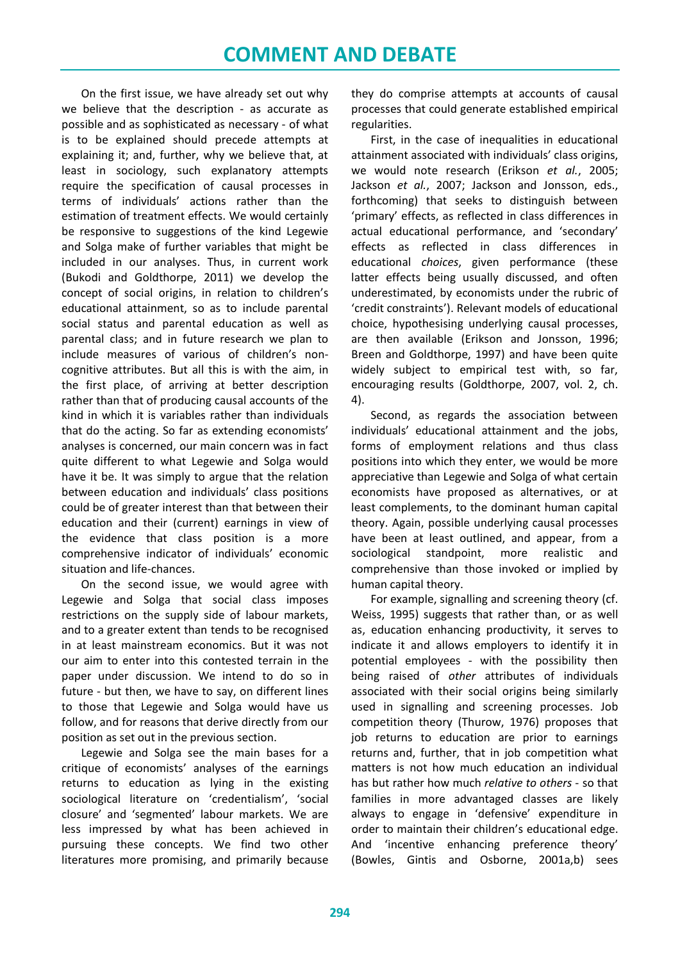On the first issue, we have already set out why we believe that the description - as accurate as possible and as sophisticated as necessary - of what is to be explained should precede attempts at explaining it; and, further, why we believe that, at least in sociology, such explanatory attempts require the specification of causal processes in terms of individuals' actions rather than the estimation of treatment effects. We would certainly be responsive to suggestions of the kind Legewie and Solga make of further variables that might be included in our analyses. Thus, in current work (Bukodi and Goldthorpe, 2011) we develop the concept of social origins, in relation to children's educational attainment, so as to include parental social status and parental education as well as parental class; and in future research we plan to include measures of various of children's noncognitive attributes. But all this is with the aim, in the first place, of arriving at better description rather than that of producing causal accounts of the kind in which it is variables rather than individuals that do the acting. So far as extending economists' analyses is concerned, our main concern was in fact quite different to what Legewie and Solga would have it be. It was simply to argue that the relation between education and individuals' class positions could be of greater interest than that between their education and their (current) earnings in view of the evidence that class position is a more comprehensive indicator of individuals' economic situation and life-chances.

On the second issue, we would agree with Legewie and Solga that social class imposes restrictions on the supply side of labour markets, and to a greater extent than tends to be recognised in at least mainstream economics. But it was not our aim to enter into this contested terrain in the paper under discussion. We intend to do so in future - but then, we have to say, on different lines to those that Legewie and Solga would have us follow, and for reasons that derive directly from our position as set out in the previous section.

Legewie and Solga see the main bases for a critique of economists' analyses of the earnings returns to education as lying in the existing sociological literature on 'credentialism', 'social closure' and 'segmented' labour markets. We are less impressed by what has been achieved in pursuing these concepts. We find two other literatures more promising, and primarily because they do comprise attempts at accounts of causal processes that could generate established empirical regularities.

First, in the case of inequalities in educational attainment associated with individuals' class origins, we would note research (Erikson *et al.*, 2005; Jackson *et al.*, 2007; Jackson and Jonsson, eds., forthcoming) that seeks to distinguish between 'primary' effects, as reflected in class differences in actual educational performance, and 'secondary' effects as reflected in class differences in educational *choices*, given performance (these latter effects being usually discussed, and often underestimated, by economists under the rubric of 'credit constraints'). Relevant models of educational choice, hypothesising underlying causal processes, are then available (Erikson and Jonsson, 1996; Breen and Goldthorpe, 1997) and have been quite widely subject to empirical test with, so far, encouraging results (Goldthorpe, 2007, vol. 2, ch. 4).

Second, as regards the association between individuals' educational attainment and the jobs, forms of employment relations and thus class positions into which they enter, we would be more appreciative than Legewie and Solga of what certain economists have proposed as alternatives, or at least complements, to the dominant human capital theory. Again, possible underlying causal processes have been at least outlined, and appear, from a sociological standpoint, more realistic and comprehensive than those invoked or implied by human capital theory.

For example, signalling and screening theory (cf. Weiss, 1995) suggests that rather than, or as well as, education enhancing productivity, it serves to indicate it and allows employers to identify it in potential employees - with the possibility then being raised of *other* attributes of individuals associated with their social origins being similarly used in signalling and screening processes. Job competition theory (Thurow, 1976) proposes that job returns to education are prior to earnings returns and, further, that in job competition what matters is not how much education an individual has but rather how much *relative to others* - so that families in more advantaged classes are likely always to engage in 'defensive' expenditure in order to maintain their children's educational edge. And 'incentive enhancing preference theory' (Bowles, Gintis and Osborne, 2001a,b) sees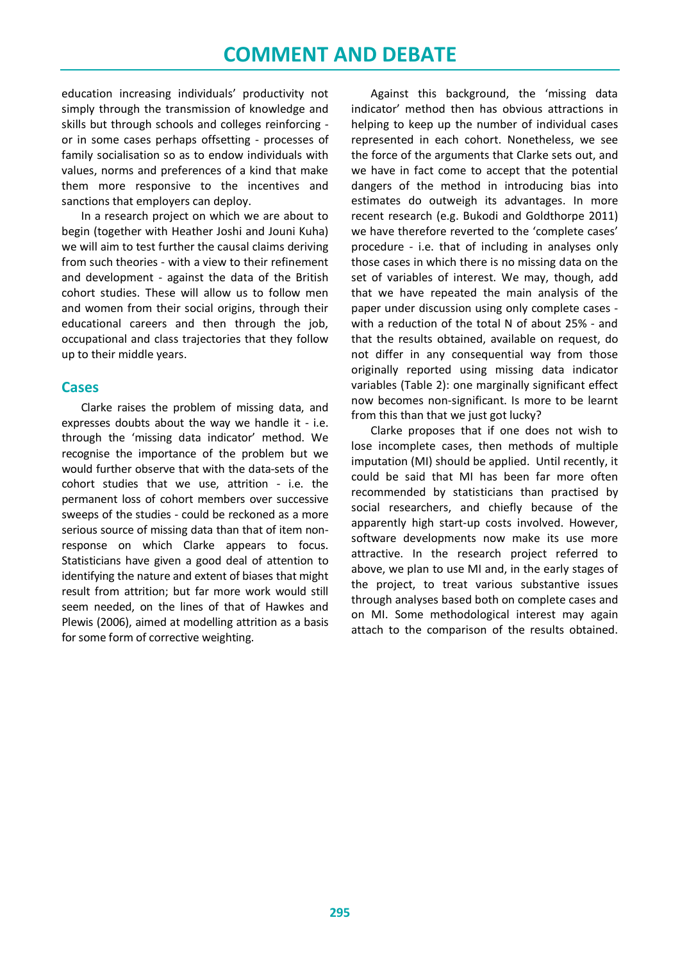education increasing individuals' productivity not simply through the transmission of knowledge and skills but through schools and colleges reinforcing or in some cases perhaps offsetting - processes of family socialisation so as to endow individuals with values, norms and preferences of a kind that make them more responsive to the incentives and sanctions that employers can deploy.

In a research project on which we are about to begin (together with Heather Joshi and Jouni Kuha) we will aim to test further the causal claims deriving from such theories - with a view to their refinement and development - against the data of the British cohort studies. These will allow us to follow men and women from their social origins, through their educational careers and then through the job, occupational and class trajectories that they follow up to their middle years.

### **Cases**

Clarke raises the problem of missing data, and expresses doubts about the way we handle it - i.e. through the 'missing data indicator' method. We recognise the importance of the problem but we would further observe that with the data-sets of the cohort studies that we use, attrition - i.e. the permanent loss of cohort members over successive sweeps of the studies - could be reckoned as a more serious source of missing data than that of item nonresponse on which Clarke appears to focus. Statisticians have given a good deal of attention to identifying the nature and extent of biases that might result from attrition; but far more work would still seem needed, on the lines of that of Hawkes and Plewis (2006), aimed at modelling attrition as a basis for some form of corrective weighting.

Against this background, the 'missing data indicator' method then has obvious attractions in helping to keep up the number of individual cases represented in each cohort. Nonetheless, we see the force of the arguments that Clarke sets out, and we have in fact come to accept that the potential dangers of the method in introducing bias into estimates do outweigh its advantages. In more recent research (e.g. Bukodi and Goldthorpe 2011) we have therefore reverted to the 'complete cases' procedure - i.e. that of including in analyses only those cases in which there is no missing data on the set of variables of interest. We may, though, add that we have repeated the main analysis of the paper under discussion using only complete cases with a reduction of the total N of about 25% - and that the results obtained, available on request, do not differ in any consequential way from those originally reported using missing data indicator variables (Table 2): one marginally significant effect now becomes non-significant. Is more to be learnt from this than that we just got lucky?

Clarke proposes that if one does not wish to lose incomplete cases, then methods of multiple imputation (MI) should be applied. Until recently, it could be said that MI has been far more often recommended by statisticians than practised by social researchers, and chiefly because of the apparently high start-up costs involved. However, software developments now make its use more attractive. In the research project referred to above, we plan to use MI and, in the early stages of the project, to treat various substantive issues through analyses based both on complete cases and on MI. Some methodological interest may again attach to the comparison of the results obtained.